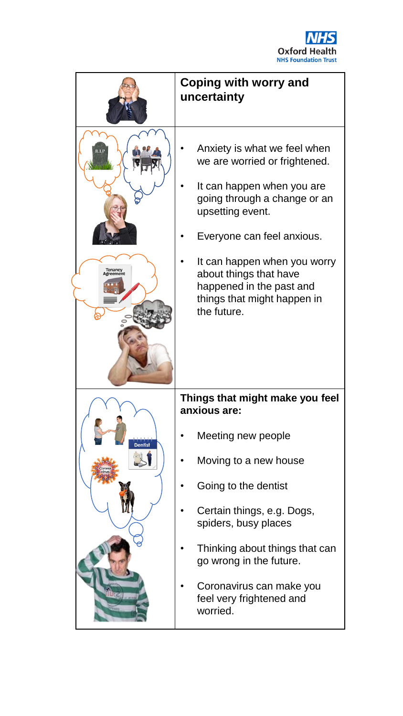

|                | Coping with worry and<br>uncertainty                                                                                                                                                                                                                                                                              |
|----------------|-------------------------------------------------------------------------------------------------------------------------------------------------------------------------------------------------------------------------------------------------------------------------------------------------------------------|
|                | Anxiety is what we feel when<br>we are worried or frightened.<br>It can happen when you are<br>going through a change or an<br>upsetting event.<br>Everyone can feel anxious.<br>It can happen when you worry<br>about things that have<br>happened in the past and<br>things that might happen in<br>the future. |
|                | Things that might make you feel<br>anxious are:                                                                                                                                                                                                                                                                   |
| <b>Dentist</b> | Meeting new people                                                                                                                                                                                                                                                                                                |
|                | Moving to a new house                                                                                                                                                                                                                                                                                             |
|                | Going to the dentist                                                                                                                                                                                                                                                                                              |
|                | Certain things, e.g. Dogs,<br>spiders, busy places                                                                                                                                                                                                                                                                |
|                | Thinking about things that can<br>go wrong in the future.                                                                                                                                                                                                                                                         |
|                | Coronavirus can make you<br>feel very frightened and<br>worried.                                                                                                                                                                                                                                                  |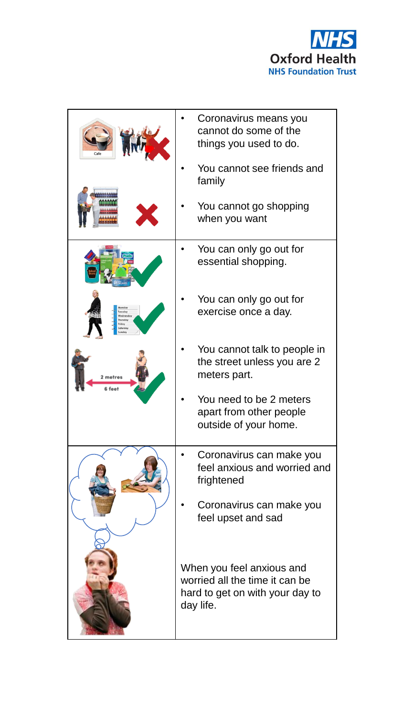

|                  | Coronavirus means you<br>cannot do some of the<br>things you used to do.                                    |
|------------------|-------------------------------------------------------------------------------------------------------------|
|                  | You cannot see friends and<br>family                                                                        |
|                  | You cannot go shopping<br>when you want                                                                     |
|                  | You can only go out for<br>essential shopping.                                                              |
|                  | You can only go out for<br>exercise once a day.                                                             |
| metres<br>6 feet | You cannot talk to people in<br>the street unless you are 2<br>meters part.                                 |
|                  | You need to be 2 meters<br>apart from other people<br>outside of your home.                                 |
|                  | Coronavirus can make you<br>feel anxious and worried and<br>frightened                                      |
|                  | Coronavirus can make you<br>feel upset and sad                                                              |
|                  | When you feel anxious and<br>worried all the time it can be<br>hard to get on with your day to<br>day life. |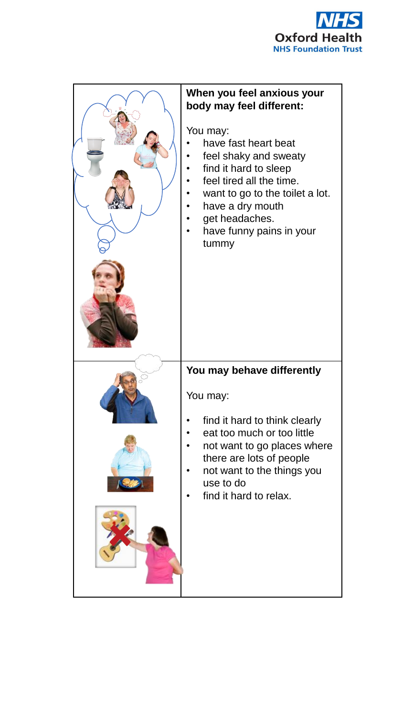

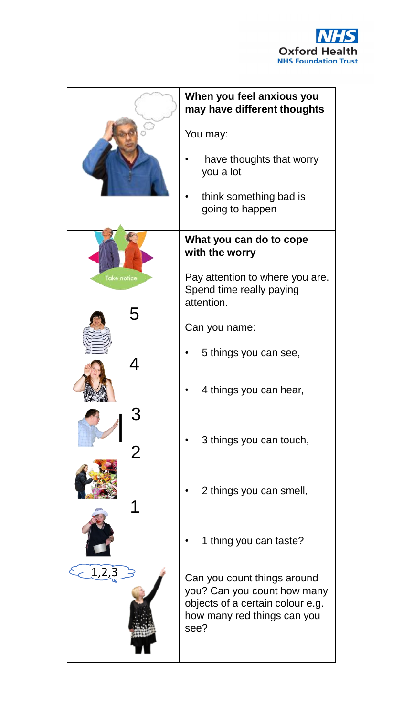

|             | When you feel anxious you<br>may have different thoughts                                                                              |
|-------------|---------------------------------------------------------------------------------------------------------------------------------------|
|             | You may:                                                                                                                              |
|             | have thoughts that worry<br>you a lot                                                                                                 |
|             | think something bad is<br>going to happen                                                                                             |
|             | What you can do to cope<br>with the worry                                                                                             |
| Take notice | Pay attention to where you are.<br>Spend time really paying<br>attention.                                                             |
| 5           | Can you name:                                                                                                                         |
|             | 5 things you can see,                                                                                                                 |
|             | 4 things you can hear,                                                                                                                |
|             | 3 things you can touch,                                                                                                               |
|             | 2 things you can smell,                                                                                                               |
|             | 1 thing you can taste?                                                                                                                |
| - 1         | Can you count things around<br>you? Can you count how many<br>objects of a certain colour e.g.<br>how many red things can you<br>see? |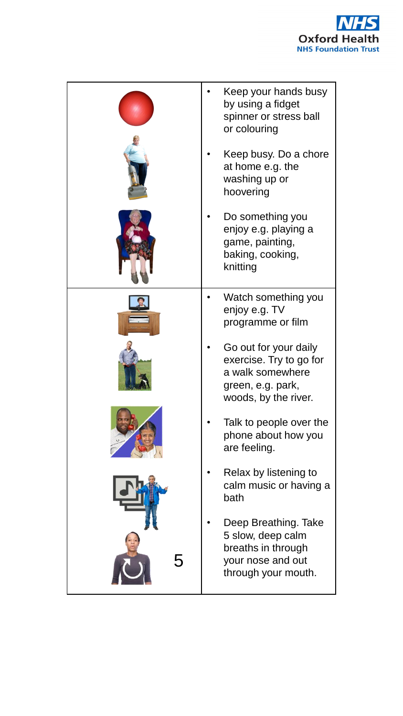

| Keep your hands busy<br>by using a fidget<br>spinner or stress ball<br>or colouring                               |
|-------------------------------------------------------------------------------------------------------------------|
| Keep busy. Do a chore<br>at home e.g. the<br>washing up or<br>hoovering                                           |
| Do something you<br>enjoy e.g. playing a<br>game, painting,<br>baking, cooking,<br>knitting                       |
| Watch something you<br>enjoy e.g. TV<br>programme or film                                                         |
| Go out for your daily<br>exercise. Try to go for<br>a walk somewhere<br>green, e.g. park,<br>woods, by the river. |
| Talk to people over the<br>phone about how you<br>are feeling.                                                    |
| Relax by listening to<br>calm music or having a<br>bath                                                           |
| Deep Breathing. Take<br>5 slow, deep calm<br>breaths in through<br>your nose and out<br>through your mouth.       |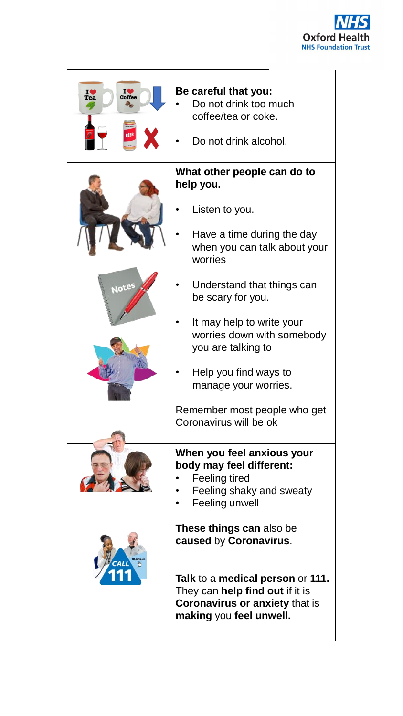

| 10<br>Coffee<br>Tea<br>BEER | Be careful that you:<br>Do not drink too much<br>coffee/tea or coke.<br>Do not drink alcohol.                                                                                                                                                                                                                                                                                      |
|-----------------------------|------------------------------------------------------------------------------------------------------------------------------------------------------------------------------------------------------------------------------------------------------------------------------------------------------------------------------------------------------------------------------------|
| Notes                       | What other people can do to<br>help you.<br>Listen to you.<br>Have a time during the day<br>when you can talk about your<br>worries<br>Understand that things can<br>be scary for you.<br>It may help to write your<br>worries down with somebody<br>you are talking to<br>Help you find ways to<br>manage your worries.<br>Remember most people who get<br>Coronavirus will be ok |
|                             | When you feel anxious your<br>body may feel different:<br><b>Feeling tired</b><br>Feeling shaky and sweaty<br>Feeling unwell<br><b>These things can also be</b><br>caused by Coronavirus.<br>Talk to a medical person or 111.<br>They can help find out if it is<br><b>Coronavirus or anxiety that is</b><br>making you feel unwell.                                               |